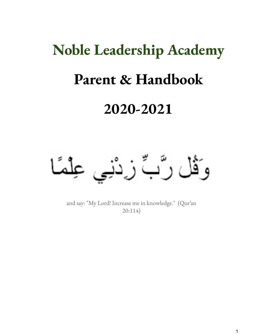# **Noble Leadership Academy Parent & Handbook 2020-2021**

وَقُلْ رَّبٌ زِرْنْبِي عِلْمًا

and say: "My Lord! Increase me in knowledge." (Qur'an 20:114)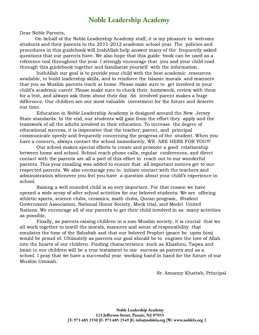Dear Noble Parents,

On behalf of the Noble Leadership Academy staff, it is my pleasure to welcome students and their parents to the 2011-2012 academic school year. The policies and procedures in this guidebook will InshAllah help answer many of the frequently asked questions that our parents have. We also hope that this guide book can be used as a reference tool throughout the year. I strongly encourage that you and your child read through this guidebook together and familiarize yourself with the information.

InshAllah our goal is to provide your child with the best academic resources available, to build leadership skills, and to reinforce the Islamic morals and manners that you as Muslim parents teach at home. Please make sure to get involved in your child's academic career. Please make sure to check their homework, review with them for a test, and always ask them about their day. An involved parent makes a huge difference. Our children are our most valuable investment for the future and deserve our time.

Education in Noble Leadership Academy is designed around the New Jersey State standards. In the end, our students will gain from the effort they apply and the teamwork of all the adults involved in their education. To increase the degree of educational success, it is imperative that the teacher, parent, and principal communicate openly and frequently concerning the progress of the student. When you have a concern, always contact the school immediately, WE ARE HERE FOR YOU!!!

Our school makes special efforts to create and promote a good relationship between home and school. School reach phone calls, regular conferences, and direct contact with the parents are all a part of this effort to reach out to our wonderful parents. This year emailing was added to ensure that all important notices get to our respected parents. We also encourage you to initiate contact with the teachers and administration whenever you feel you have a question about your child's experience in school.

Raising a well rounded child is so very important. For that reason we have opened a wide array of after school activities for our beloved students. We are offering athletic sports, science clubs, ceramics, math clubs, Quran program, Student Government Association, National Honor Society, Mock trial, and Model United Nations. We encourage all of our parents to get their child involved in as many activities as possible.

Finally, as parents raising children in a non-Muslim society, it is crucial that we all work together to instill the morals, manners and sense of responsibility that emulates the time of the Sahabah and that our beloved Prophet (peace be upon him) would be proud of. Ultimately as parents our goal should be to engrave the love of Allah into the hearts of our children. Finding characteristics such as Khashou, Taqwa and Iman in our children will be a true testament to our success as parents and as a school. I pray that we have a successful year working hand in hand for the future of our Muslim Ummah.

Sr. Amanny Khattab, Principal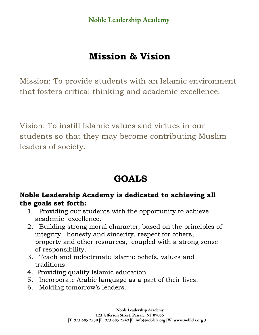# Mission & Vision

Mission: To provide students with an Islamic environment that fosters critical thinking and academic excellence.

Vision: To instill Islamic values and virtues in our students so that they may become contributing Muslim leaders of society.

# GOALS

### Noble Leadership Academy is dedicated to achieving all the goals set forth:

- 1. Providing our students with the opportunity to achieve academic excellence.
- 2. Building strong moral character, based on the principles of integrity, honesty and sincerity, respect for others, property and other resources, coupled with a strong sense of responsibility.
- 3. Teach and indoctrinate Islamic beliefs, values and traditions.
- 4. Providing quality Islamic education.
- 5. Incorporate Arabic language as a part of their lives.
- 6. Molding tomorrow's leaders.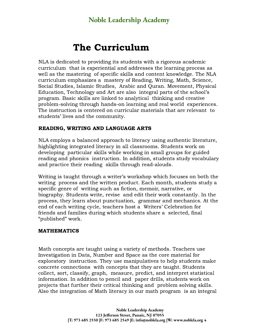# The Curriculum

NLA is dedicated to providing its students with a rigorous academic curriculum that is experiential and addresses the learning process as well as the mastering of specific skills and content knowledge. The NLA curriculum emphasizes a mastery of Reading, Writing, Math, Science, Social Studies, Islamic Studies, Arabic and Quran. Movement, Physical Education, Technology and Art are also integral parts of the school's program. Basic skills are linked to analytical thinking and creative problem-solving through hands-on learning and real world experiences. The instruction is centered on curricular materials that are relevant to students' lives and the community.

#### READING, WRITING AND LANGUAGE ARTS

NLA employs a balanced approach to literacy using authentic literature, highlighting integrated literacy in all classrooms. Students work on developing particular skills while working in small groups for guided reading and phonics instruction. In addition, students study vocabulary and practice their reading skills through read-alouds.

Writing is taught through a writer's workshop which focuses on both the writing process and the written product. Each month, students study a specific genre of writing such as fiction, memoir, narrative, or biography. Students write, revise and edit their work constantly. In the process, they learn about punctuation, grammar and mechanics. At the end of each writing cycle, teachers host a Writers' Celebration for friends and families during which students share a selected, final "published" work.

#### MATHEMATICS

Math concepts are taught using a variety of methods. Teachers use Investigation in Data, Number and Space as the core material for exploratory instruction. They use manipulatives to help students make concrete connections with concepts that they are taught. Students collect, sort, classify, graph, measure, predict, and interpret statistical information. In addition to pencil and paper drills, students work on projects that further their critical thinking and problem solving skills. Also the integration of Math literacy in our math program is an integral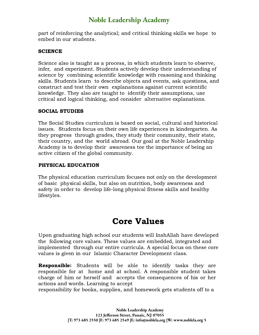part of reinforcing the analytical; and critical thinking skills we hope to embed in our students.

### **SCIENCE**

Science also is taught as a process, in which students learn to observe, infer, and experiment. Students actively develop their understanding of science by combining scientific knowledge with reasoning and thinking skills. Students learn to describe objects and events, ask questions, and construct and test their own explanations against current scientific knowledge. They also are taught to identify their assumptions, use critical and logical thinking, and consider alternative explanations.

### SOCIAL STUDIES

The Social Studies curriculum is based on social, cultural and historical issues. Students focus on their own life experiences in kindergarten. As they progress through grades, they study their community, their state, their country, and the world abroad. Our goal at the Noble Leadership Academy is to develop their awareness toe the importance of being an active citizen of the global community.

### PHYSICAL EDUCATION

The physical education curriculum focuses not only on the development of basic physical skills, but also on nutrition, body awareness and safety in order to develop life-long physical fitness skills and healthy lifestyles.

## Core Values

Upon graduating high school our students will InshAllah have developed the following core values. These values are embedded, integrated and implemented through our entire curricula. A special focus on these core values is given in our Islamic Character Development class.

Responsible: Students will be able to identify tasks they are responsible for at home and at school. A responsible student takes charge of him or herself and accepts the consequences of his or her actions and words. Learning to accept

responsibility for books, supplies, and homework gets students off to a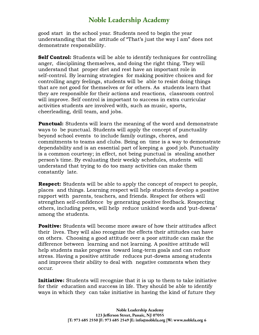good start in the school year. Students need to begin the year understanding that the attitude of "That's just the way I am" does not demonstrate responsibility.

**Self Control:** Students will be able to identify techniques for controlling anger, disciplining themselves, and doing the right thing. They will understand that proper diet and rest have an important role in self-control. By learning strategies for making positive choices and for controlling angry feelings, students will be able to resist doing things that are not good for themselves or for others. As students learn that they are responsible for their actions and reactions, classroom control will improve. Self control is important to success in extra curricular activities students are involved with, such as music, sports, cheerleading, drill team, and jobs.

**Punctual:** Students will learn the meaning of the word and demonstrate ways to be punctual. Students will apply the concept of punctuality beyond school events to include family outings, chores, and commitments to teams and clubs. Being on time is a way to demonstrate dependability and is an essential part of keeping a good job. Punctuality is a common courtesy; in effect, not being punctual is stealing another person's time. By evaluating their weekly schedules, students will understand that trying to do too many activities can make them constantly late.

Respect: Students will be able to apply the concept of respect to people, places and things. Learning respect will help students develop a positive rapport with parents, teachers, and friends. Respect for others will strengthen self-confidence by generating positive feedback. Respecting others, including peers, will help reduce unkind words and 'put-downs' among the students.

**Positive:** Students will become more aware of how their attitudes affect their lives. They will also recognize the effects their attitudes can have on others. Choosing a good attitude over a poor attitude can make the difference between learning and not learning. A positive attitude will help students make progress toward long-term goals and can reduce stress. Having a positive attitude reduces put-downs among students and improves their ability to deal with negative comments when they occur.

**Initiative:** Students will recognize that it is up to them to take initiative for their education and success in life. They should be able to identify ways in which they can take initiative in having the kind of future they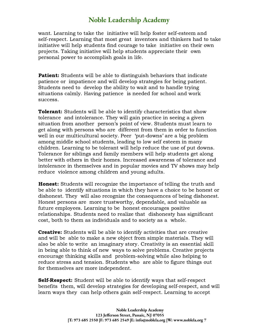want. Learning to take the initiative will help foster self-esteem and self-respect. Learning that most great inventors and thinkers had to take initiative will help students find courage to take initiative on their own projects. Taking initiative will help students appreciate their own personal power to accomplish goals in life.

**Patient:** Students will be able to distinguish behaviors that indicate patience or impatience and will develop strategies for being patient. Students need to develop the ability to wait and to handle trying situations calmly. Having patience is needed for school and work success.

**Tolerant:** Students will be able to identify characteristics that show tolerance and intolerance. They will gain practice in seeing a given situation from another person's point of view. Students must learn to get along with persons who are different from them in order to function well in our multicultural society. Peer 'put-downs' are a big problem among middle school students, leading to low self esteem in many children. Learning to be tolerant will help reduce the use of put downs. Tolerance for siblings and family members will help students get along better with others in their homes. Increased awareness of tolerance and intolerance in themselves and in popular movies and TV shows may help reduce violence among children and young adults.

Honest: Students will recognize the importance of telling the truth and be able to identify situations in which they have a choice to be honest or dishonest. They will also recognize the consequences of being dishonest. Honest persons are more trustworthy, dependable, and valuable as future employees. Learning to be honest encourages positive relationships. Students need to realize that dishonesty has significant cost, both to them as individuals and to society as a whole.

**Creative:** Students will be able to identify activities that are creative and will be able to make a new object from simple materials. They will also be able to write an imaginary story. Creativity is an essential skill in being able to think of new ways to solve problems. Creative projects encourage thinking skills and problem-solving while also helping to reduce stress and tension. Students who are able to figure things out for themselves are more independent.

**Self-Respect:** Student will be able to identify ways that self-respect benefits them, will develop strategies for developing self-respect, and will learn ways they can help others gain self-respect. Learning to accept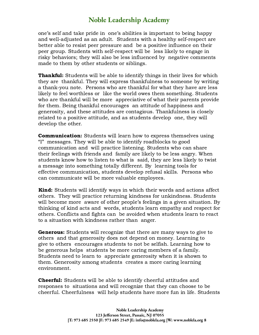one's self and take pride in one's abilities is important to being happy and well-adjusted as an adult. Students with a healthy self-respect are better able to resist peer pressure and be a positive influence on their peer group. Students with self-respect will be less likely to engage in risky behaviors; they will also be less influenced by negative comments made to them by other students or siblings.

**Thankful:** Students will be able to identify things in their lives for which they are thankful. They will express thankfulness to someone by writing a thank-you note. Persons who are thankful for what they have are less likely to feel worthless or like the world owes them something. Students who are thankful will be more appreciative of what their parents provide for them. Being thankful encourages an attitude of happiness and generosity, and these attitudes are contagious. Thankfulness is closely related to a positive attitude, and as students develop one, they will develop the other.

**Communication:** Students will learn how to express themselves using "I" messages. They will be able to identify roadblocks to good communication and will practice listening. Students who can share their feelings with friends and family are likely to be less angry. When students know how to listen to what is said, they are less likely to twist a message into something totally different. By learning tools for effective communication, students develop refusal skills. Persons who can communicate will be more valuable employees.

**Kind:** Students will identify ways in which their words and actions affect others. They will practice returning kindness for unkindness. Students will become more aware of other people's feelings in a given situation. By thinking of kind acts and words, students learn empathy and respect for others. Conflicts and fights can be avoided when students learn to react to a situation with kindness rather than anger.

**Generous:** Students will recognize that there are many ways to give to others and that generosity does not depend on money. Learning to give to others encourages students to not be selfish. Learning how to be generous helps students be more caring members of a family. Students need to learn to appreciate generosity when it is shown to them. Generosity among students creates a more caring learning environment.

**Cheerful:** Students will be able to identify cheerful attitudes and responses to situations and will recognize that they can choose to be cheerful. Cheerfulness will help students have more fun in life. Students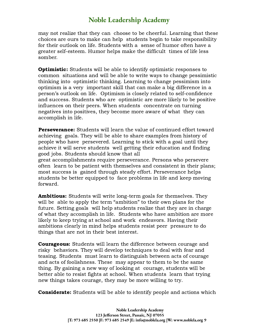may not realize that they can choose to be cheerful. Learning that these choices are ours to make can help students begin to take responsibility for their outlook on life. Students with a sense of humor often have a greater self-esteem. Humor helps make the difficult times of life less somber.

**Optimistic:** Students will be able to identify optimistic responses to common situations and will be able to write ways to change pessimistic thinking into optimistic thinking. Learning to change pessimism into optimism is a very important skill that can make a big difference in a person's outlook on life. Optimism is closely related to self-confidence and success. Students who are optimistic are more likely to be positive influences on their peers. When students concentrate on turning negatives into positives, they become more aware of what they can accomplish in life.

Perseverance: Students will learn the value of continued effort toward achieving goals. They will be able to share examples from history of people who have persevered. Learning to stick with a goal until they achieve it will serve students well getting their education and finding good jobs. Students should know that all

great accomplishments require perseverance. Persons who persevere often learn to be patient with themselves and consistent in their plans; most success is gained through steady effort. Perseverance helps students be better equipped to face problems in life and keep moving forward.

**Ambitious:** Students will write long-term goals for themselves. They will be able to apply the term "ambition" to their own plans for the future. Setting goals will help students realize that they are in charge of what they accomplish in life. Students who have ambition are more likely to keep trying at school and work endeavors. Having their ambitions clearly in mind helps students resist peer pressure to do things that are not in their best interest.

**Courageous:** Students will learn the difference between courage and risky behaviors. They will develop techniques to deal with fear and teasing. Students must learn to distinguish between acts of courage and acts of foolishness. These may appear to them to be the same thing. By gaining a new way of looking at courage, students will be better able to resist fights at school. When students learn that trying new things takes courage, they may be more willing to try.

**Considerate:** Students will be able to identify people and actions which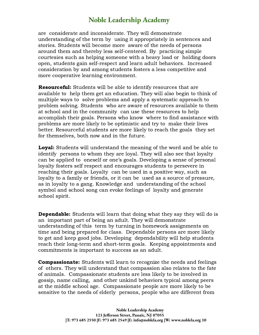are considerate and inconsiderate. They will demonstrate understanding of the term by using it appropriately in sentences and stories. Students will become more aware of the needs of persons around them and thereby less self-centered. By practicing simple courtesies such as helping someone with a heavy load or holding doors open, students gain self-respect and learn adult behaviors. Increased consideration by and among students fosters a less competitive and more cooperative learning environment.

Resourceful: Students will be able to identify resources that are available to help them get an education. They will also begin to think of multiple ways to solve problems and apply a systematic approach to problem solving. Students who are aware of resources available to them at school and in the community can use these resources to help accomplish their goals. Persons who know where to find assistance with problems are more likely to be optimistic and try to make their lives better. Resourceful students are more likely to reach the goals they set for themselves, both now and in the future.

**Loyal:** Students will understand the meaning of the word and be able to identify persons to whom they are loyal. They will also see that loyalty can be applied to oneself or one's goals. Developing a sense of personal loyalty fosters self respect and encourages students to persevere in reaching their goals. Loyalty can be used in a positive way, such as loyalty to a family or friends, or it can be used as a source of pressure, as in loyalty to a gang. Knowledge and understanding of the school symbol and school song can evoke feelings of loyalty and generate school spirit.

**Dependable:** Students will learn that doing what they say they will do is an important part of being an adult. They will demonstrate understanding of this term by turning in homework assignments on time and being prepared for class. Dependable persons are more likely to get and keep good jobs. Developing dependability will help students reach their long-term and short-term goals. Keeping appointments and commitments is important to success as an adult.

**Compassionate:** Students will learn to recognize the needs and feelings of others. They will understand that compassion also relates to the fate of animals. Compassionate students are less likely to be involved in gossip, name calling, and other unkind behaviors typical among peers at the middle school age. Compassionate people are more likely to be sensitive to the needs of elderly persons, people who are different from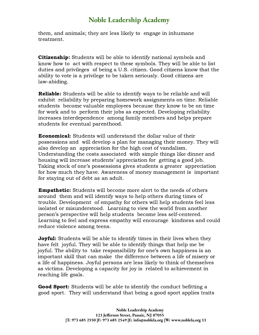them, and animals; they are less likely to engage in inhumane treatment.

**Citizenship:** Students will be able to identify national symbols and know how to act with respect to these symbols. They will be able to list duties and privileges of being a U.S. citizen. Good citizens know that the ability to vote is a privilege to be taken seriously. Good citizens are law-abiding.

Reliable: Students will be able to identify ways to be reliable and will exhibit reliability by preparing homework assignments on time. Reliable students become valuable employees because they know to be on time for work and to perform their jobs as expected. Developing reliability increases interdependence among family members and helps prepare students for eventual parenthood.

Economical: Students will understand the dollar value of their possessions and will develop a plan for managing their money. They will also develop an appreciation for the high cost of vandalism. Understanding the costs associated with simple things like dinner and housing will increase students' appreciation for getting a good job. Taking stock of one's possessions gives students a greater appreciation for how much they have. Awareness of money management is important for staying out of debt as an adult.

Empathetic: Students will become more alert to the needs of others around them and will identify ways to help others during times of trouble. Development of empathy for others will help students feel less isolated or misunderstood. Learning to view the world from another person's perspective will help students become less self-centered. Learning to feel and express empathy will encourage kindness and could reduce violence among teens.

**Joyful:** Students will be able to identify times in their lives when they have felt joyful. They will be able to identify things that help me be joyful. The ability to take responsibility for one's own happiness is an important skill that can make the difference between a life of misery or a life of happiness. Joyful persons are less likely to think of themselves as victims. Developing a capacity for joy is related to achievement in reaching life goals.

**Good Sport:** Students will be able to identify the conduct befitting a good sport. They will understand that being a good sport applies traits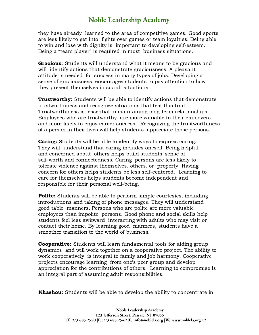they have already learned to the area of competitive games. Good sports are less likely to get into fights over games or team loyalties. Being able to win and lose with dignity is important to developing self-esteem. Being a "team player" is required in most business situations.

**Gracious:** Students will understand what it means to be gracious and will identify actions that demonstrate graciousness. A pleasant attitude is needed for success in many types of jobs. Developing a sense of graciousness encourages students to pay attention to how they present themselves in social situations.

**Trustworthy:** Students will be able to identify actions that demonstrate trustworthiness and recognize situations that test this trait. Trustworthiness is essential to maintaining long-term relationships. Employees who are trustworthy are more valuable to their employers and more likely to enjoy career success. Recognizing the trustworthiness of a person in their lives will help students appreciate those persons.

**Caring:** Students will be able to identify ways to express caring. They will understand that caring includes oneself. Being helpful and concerned about others helps build students' sense of self-worth and connectedness. Caring persons are less likely to tolerate violence against themselves, others, or property. Having concern for others helps students be less self-centered. Learning to care for themselves helps students become independent and responsible for their personal well-being.

**Polite:** Students will be able to perform simple courtesies, including introductions and taking of phone messages. They will understand good table manners. Persons who are polite are more valuable employees than impolite persons. Good phone and social skills help students feel less awkward interacting with adults who may visit or contact their home. By learning good manners, students have a smoother transition to the world of business.

**Cooperative:** Students will learn fundamental tools for aiding group dynamics and will work together on a cooperative project. The ability to work cooperatively is integral to family and job harmony. Cooperative projects encourage learning from one's peer group and develop appreciation for the contributions of others. Learning to compromise is an integral part of assuming adult responsibilities.

**Khashou:** Students will be able to develop the ability to concentrate in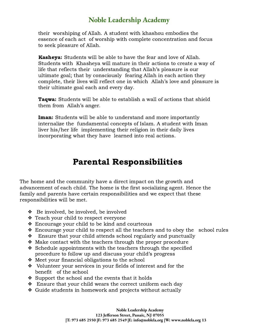their worshiping of Allah. A student with khashou embodies the essence of each act of worship with complete concentration and focus to seek pleasure of Allah.

Kasheya: Students will be able to have the fear and love of Allah. Students with Khasheya will mature in their actions to create a way of life that reflects their understanding that Allah's pleasure is our ultimate goal; that by consciously fearing Allah in each action they complete, their lives will reflect one in which Allah's love and pleasure is their ultimate goal each and every day.

**Taqwa:** Students will be able to establish a wall of actions that shield them from Allah's anger.

**Iman:** Students will be able to understand and more importantly internalize the fundamental concepts of Islam. A student with Iman liver his/her life implementing their religion in their daily lives incorporating what they have learned into real actions.

### Parental Responsibilities

The home and the community have a direct impact on the growth and advancement of each child. The home is the first socializing agent. Hence the family and parents have certain responsibilities and we expect that these responsibilities will be met.

- ❖ Be involved, be involved, be involved
- ❖ Teach your child to respect everyone
- ❖ Encourage your child to be kind and courteous
- ❖ Encourage your child to respect all the teachers and to obey the school rules
- ❖ Ensure that your child attends school regularly and punctually
- ❖ Make contact with the teachers through the proper procedure
- ❖ Schedule appointments with the teachers through the specified procedure to follow up and discuss your child's progress
- ❖ Meet your financial obligations to the school
- ❖ Volunteer your services in your fields of interest and for the benefit of the school
- ❖ Support the school and the events that it holds
- ❖ Ensure that your child wears the correct uniform each day
- ❖ Guide students in homework and projects without actually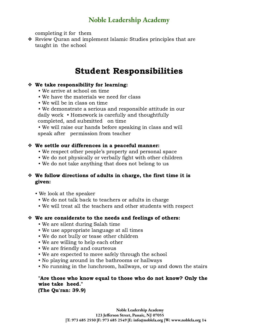completing it for them

❖ Review Quran and implement Islamic Studies principles that are taught in the school

### Student Responsibilities

### ❖ We take responsibility for learning:

- We arrive at school on time
- We have the materials we need for class
- We will be in class on time
- We demonstrate a serious and responsible attitude in our daily work • Homework is carefully and thoughtfully completed, and submitted on time

• We will raise our hands before speaking in class and will speak after permission from teacher

### ❖ We settle our differences in a peaceful manner:

- We respect other people's property and personal space
- We do not physically or verbally fight with other children
- We do not take anything that does not belong to us

### ❖ We follow directions of adults in charge, the first time it is given:

- We look at the speaker
	- We do not talk back to teachers or adults in charge
	- We will treat all the teachers and other students with respect

### ❖ We are considerate to the needs and feelings of others:

- We are silent during Salah time
- We use appropriate language at all times
- We do not bully or tease other children
- We are willing to help each other
- We are friendly and courteous
- We are expected to move safely through the school
- No playing around in the bathrooms or hallways
- No running in the lunchroom, hallways, or up and down the stairs

#### "Are those who know equal to those who do not know? Only the wise take heed." (The Qu'ran: 39.9)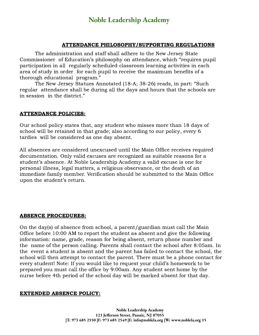#### ATTENDANCE PHILOSOPHY/SUPPORTING REGULATIONS

The administration and staff shall adhere to the New Jersey State Commissioner of Education's philosophy on attendance, which "requires pupil participation in all regularly scheduled classroom learning activities in each area of study in order for each pupil to receive the maximum benefits of a thorough educational program."

The New Jersey Statues Annotated (18-A; 38-26) reads, in part: "Such regular attendance shall be during all the days and hours that the schools are in session in the district."

#### ATTENDANCE POLICIES:

Our school policy states that, any student who misses more than 18 days of school will be retained in that grade; also according to our policy, every 6 tardies will be considered as one day absent.

All absences are considered unexcused until the Main Office receives required documentation. Only valid excuses are recognized as suitable reasons for a student's absence. At Noble Leadership Academy a valid excuse is one for personal illness, legal matters, a religious observance, or the death of an immediate family member. Verification should be submitted to the Main Office upon the student's return.

#### ABSENCE PROCEDURES:

On the day(s) of absence from school, a parent/guardian must call the Main Office before 10:00 AM to report the student as absent and give the following information: name, grade, reason for being absent, return phone number and the name of the person calling. Parents shall contact the school after 8:05am. In the event a student is absent and the parent has failed to contact the school, the school will then attempt to contact the parent. There must be a phone contact for every student! Note: If you would like to request your child's homework to be prepared you must call the office by 9:00am. Any student sent home by the nurse before 4th period of the school day will be marked absent for that day.

#### EXTENDED ABSENCE POLICY: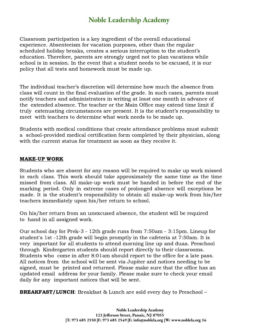Classroom participation is a key ingredient of the overall educational experience. Absenteeism for vacation purposes, other than the regular scheduled holiday breaks, creates a serious interruption to the student's education. Therefore, parents are strongly urged not to plan vacations while school is in session. In the event that a student needs to be excused, it is our policy that all tests and homework must be made up.

The individual teacher's discretion will determine how much the absence from class will count in the final evaluation of the grade. In such cases, parents must notify teachers and administrators in writing at least one month in advance of the extended absence. The teacher or the Main Office may extend time limit if truly extenuating circumstances are present. It is the student's responsibility to meet with teachers to determine what work needs to be made up.

Students with medical conditions that create attendance problems must submit a school-provided medical certification form completed by their physician, along with the current status for treatment as soon as they receive it.

#### MAKE-UP WORK

Students who are absent for any reason will be required to make up work missed in each class. This work should take approximately the same time as the time missed from class. All make-up work must be handed in before the end of the marking period. Only in extreme cases of prolonged absence will exceptions be made. It is the student's responsibility to obtain all make-up work from his/her teachers immediately upon his/her return to school.

On his/her return from an unexcused absence, the student will be required to hand in all assigned work.

Our school day for Prek-3 - 12th grade runs from 7:50am - 3:15pm. Lineup for student's 1st -12th grade will begin promptly in the cafeteria at 7:50am. It is very important for all students to attend morning line up and duaa. Preschool through Kindergarten students should report directly to their classrooms. Students who come in after 8:01am should report to the office for a late pass. All notices from the school will be sent via Jupiter and notices needing to be signed, must be printed and returned. Please make sure that the office has an updated email address for your family. Please make sure to check your email daily for any important notices that will be sent.

**BREAKFAST/LUNCH:** Breakfast & Lunch are sold every day to Preschool –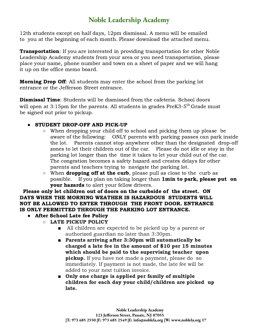12th students except on half days, 12pm dismissal. A menu will be emailed to you at the beginning of each month. Please download the attached menu.

**Transportation**: If you are interested in providing transportation for other Noble Leadership Academy students from your area or you need transportation, please place your name, phone number and town on a sheet of paper and we will hang it up on the office memo board.

**Morning Drop Off:** All students may enter the school from the parking lot entrance or the Jefferson Street entrance.

**Dismissal Time**: Students will be dismissed from the cafeteria. School doors will open at 3:15pm for the parents. All students in grades PreK3-5 $^{\rm th}$ Grade must be signed out prior to pickup.

### **●** STUDENT DROP-OFF AND PICK-UP

- **○** When dropping your child off to school and picking them up please be aware of the following: ONLY parents with parking passes can park inside the lot. Parents cannot stop anywhere other than the designated drop-off zones to let their children out of the car. Please do not idle or stay in the parking lot longer than the time it takes to let your child out of the car. The congestion becomes a safety hazard and creates delays for other parents and teachers trying to navigate the parking lot.
- **○** When dropping off at the curb, please pull as close to the curb as possible. If you plan on taking longer than **1min to park, please put on** your hazards to alert your fellow drivers.

Please only let children out of doors on the curbside of the street. ON DAYS WHEN THE MORNING WEATHER IS HAZARDOUS STUDENTS WILL NOT BE ALLOWED TO ENTER THROUGH THE FRONT DOOR. ENTRANCE IS ONLY PERMITTED THROUGH THE PARKING LOT ENTRANCE.

- **●** After School Late fee Policy
	- **○** LATE PICKUP POLICY
		- All children are expected to be picked up by a parent or authorized guardian no later than 3:30pm.
		- Parents arriving after 3:30pm will automatically be charged a late fee in the amount of \$10 per 15 minutes which should be paid to the supervising teacher upon **pickup.** If you have not made a payment, please do so immediately. If payment is not made, the late fee will be added to your next tuition invoice.
		- Only one charge is applied per family of multiple children for each day your child/children are picked up late.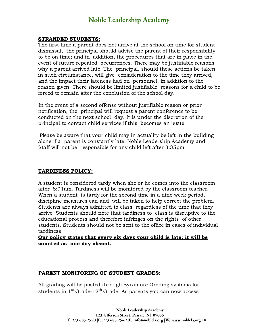#### STRANDED STUDENTS:

The first time a parent does not arrive at the school on time for student dismissal, the principal should advise the parent of their responsibility to be on time; and in addition, the procedures that are in place in the event of future repeated occurrences. There may be justifiable reasons why a parent arrived late. The principal, should these actions be taken in such circumstance, will give consideration to the time they arrived, and the impact their lateness had on personnel, in addition to the reason given. There should be limited justifiable reasons for a child to be forced to remain after the conclusion of the school day.

In the event of a second offense without justifiable reason or prior notification, the principal will request a parent conference to be conducted on the next school day. It is under the discretion of the principal to contact child services if this becomes an issue.

Please be aware that your child may in actuality be left in the building alone if a parent is constantly late. Noble Leadership Academy and Staff will not be responsible for any child left after 3:35pm.

#### TARDINESS POLICY:

A student is considered tardy when she or he comes into the classroom after 8:01am. Tardiness will be monitored by the classroom teacher. When a student is tardy for the second time in a nine week period, discipline measures can and will be taken to help correct the problem. Students are always admitted to class regardless of the time that they arrive. Students should note that tardiness to class is disruptive to the educational process and therefore infringes on the rights of other students. Students should not be sent to the office in cases of individual tardiness.

### Our policy states that every six days your child is late; it will be counted as one day absent.

#### PARENT MONITORING OF STUDENT GRADES:

All grading will be posted through Sycamore Grading systems for students in 1 st Grade-12 th Grade. As parents you can now access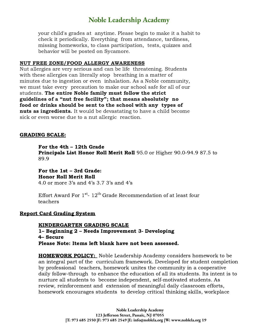your child's grades at anytime. Please begin to make it a habit to check it periodically. Everything from attendance, tardiness, missing homeworks, to class participation, tests, quizzes and behavior will be posted on Sycamore.

#### NUT FREE ZONE/FOOD ALLERGY AWARENESS

Nut allergies are very serious and can be life threatening. Students with these allergies can literally stop breathing in a matter of minutes due to ingestion or even inhalation. As a Noble community, we must take every precaution to make our school safe for all of our students. The entire Noble family must follow the strict guidelines of a "nut free facility"; that means absolutely no food or drinks should be sent to the school with any types of **nuts as ingredients.** It would be devastating to have a child become sick or even worse due to a nut allergic reaction.

#### GRADING SCALE:

For the 4th – 12th Grade **Principals List Honor Roll Merit Roll** 95.0 or Higher 90.0-94.9 87.5 to 89.9

For the 1st – 3rd Grade: Honor Roll Merit Roll 4.0 or more 3's and 4's 3.7 3's and 4's

Effort Award For  $1^{\rm st}$ -  $12^{\rm th}$ Grade Recommendation of at least four teachers

#### Report Card Grading System

#### KINDERGARTEN GRADING SCALE 1– Beginning 2 – Needs Improvement 3- Developing 4– Secure Please Note: Items left blank have not been assessed.

**HOMEWORK POLICY:** Noble Leadership Academy considers homework to be an integral part of the curriculum framework. Developed for student completion by professional teachers, homework unites the community in a cooperative daily follow-through to enhance the education of all its students. Its intent is to nurture all students to become independent, self-motivated students. As review, reinforcement and extension of meaningful daily classroom efforts, homework encourages students to develop critical thinking skills, workplace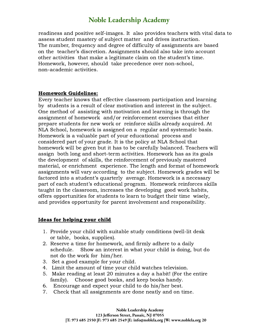readiness and positive self-images. It also provides teachers with vital data to assess student mastery of subject matter and drives instruction. The number, frequency and degree of difficulty of assignments are based on the teacher's discretion. Assignments should also take into account other activities that make a legitimate claim on the student's time. Homework, however, should take precedence over non-school, non-academic activities.

#### Homework Guidelines:

Every teacher knows that effective classroom participation and learning by students is a result of clear motivation and interest in the subject. One method of assisting with motivation and learning is through the assignment of homework and/or reinforcement exercises that either prepare students for new work or reinforce skills already acquired. At NLA School, homework is assigned on a regular and systematic basis. Homework is a valuable part of your educational process and considered part of your grade. It is the policy at NLA School that homework will be given but it has to be carefully balanced. Teachers will assign both long and short-term activities. Homework has as its goals the development of skills, the reinforcement of previously mastered material, or enrichment experience. The length and format of homework assignments will vary according to the subject. Homework grades will be factored into a student's quarterly average. Homework is a necessary part of each student's educational program. Homework reinforces skills taught in the classroom, increases the developing good work habits, offers opportunities for students to learn to budget their time wisely, and provides opportunity for parent involvement and responsibility.

#### Ideas for helping your child

- 1. Provide your child with suitable study conditions (well-lit desk or table, books, supplies).
- 2. Reserve a time for homework, and firmly adhere to a daily schedule. Show an interest in what your child is doing, but do not do the work for him/her.
- 3. Set a good example for your child.
- 4. Limit the amount of time your child watches television.
- 5. Make reading at least 20 minutes a day a habit! (For the entire family). Choose good books, and keep books handy.
- 6. Encourage and expect your child to do his/her best.
- 7. Check that all assignments are done neatly and on time.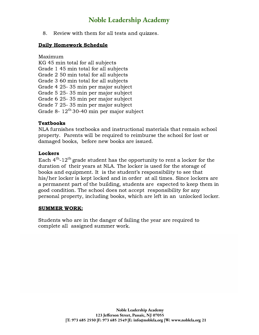8. Review with them for all tests and quizzes.

#### Daily Homework Schedule

Maximum KG 45 min total for all subjects Grade 1 45 min total for all subjects Grade 2 50 min total for all subjects Grade 3 60 min total for all subjects Grade 4 25- 35 min per major subject Grade 5 25- 35 min per major subject Grade 6 25- 35 min per major subject Grade 7 25- 35 min per major subject Grade 8-  $12^{th}$  30-40 min per major subject

#### **Textbooks**

NLA furnishes textbooks and instructional materials that remain school property. Parents will be required to reimburse the school for lost or damaged books, before new books are issued.

#### Lockers

Each  $4^{\text{th}}$ -12<sup>th</sup> grade student has the opportunity to rent a locker for the duration of their years at NLA. The locker is used for the storage of books and equipment. It is the student's responsibility to see that his/her locker is kept locked and in order at all times. Since lockers are a permanent part of the building, students are expected to keep them in good condition. The school does not accept responsibility for any personal property, including books, which are left in an unlocked locker.

#### SUMMER WORK:

Students who are in the danger of failing the year are required to complete all assigned summer work.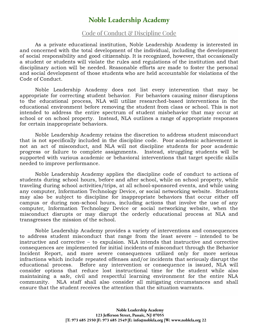### Code of Conduct & Discipline Code

As a private educational institution, Noble Leadership Academy is interested in and concerned with the total development of the individual, including the development of social responsibility and good citizenship. It is recognized, however, that occasionally a student or students will violate the rules and regulations of the institution and that disciplinary action will be needed. Reasonable efforts are made to foster the personal and social development of those students who are held accountable for violations of the Code of Conduct.

Noble Leadership Academy does not list every intervention that may be appropriate for correcting student behavior. For behaviors causing minor disruptions to the educational process, NLA will utilize researched-based interventions in the educational environment before removing the student from class or school. This is not intended to address the entire spectrum of student misbehavior that may occur at school or on school property. Instead, NLA outlines a range of appropriate responses for certain inappropriate behaviors.

Noble Leadership Academy retains the discretion to address student misconduct that is not specifically included in the discipline code. Poor academic achievement is not an act of misconduct, and NLA will not discipline students for poor academic progress or failure to complete assignments. Instead, struggling students will be supported with various academic or behavioral interventions that target specific skills needed to improve performance.

Noble Leadership Academy applies the discipline code of conduct to actions of students during school hours, before and after school, while on school property, while traveling during school activities/trips, at all school-sponsored events, and while using any computer, Information Technology Device, or social networking website. Students may also be subject to discipline for inappropriate behaviors that occur either off campus or during non-school hours, including actions that involve the use of any computer, Information Technology Device or social networking website, when the misconduct disrupts or may disrupt the orderly educational process at NLA and transgresses the mission of the school.

Noble Leadership Academy provides a variety of interventions and consequences to address student misconduct that range from the least severe – intended to be instructive and corrective – to expulsion. NLA intends that instructive and corrective consequences are implemented for initial incidents of misconduct through the Behavior Incident Report, and more severe consequences utilized only for more serious infractions which include repeated offenses and/or incidents that seriously disrupt the educational process. Before any intervention or consequence is issued, NLA will consider options that reduce lost instructional time for the student while also maintaining a safe, civil and respectful learning environment for the entire NLA community. NLA staff shall also consider all mitigating circumstances and shall ensure that the student receives the attention that the situation warrants.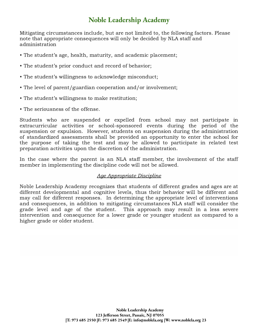Mitigating circumstances include, but are not limited to, the following factors. Please note that appropriate consequences will only be decided by NLA staff and administration

- The student's age, health, maturity, and academic placement;
- The student's prior conduct and record of behavior;
- The student's willingness to acknowledge misconduct;
- The level of parent/guardian cooperation and/or involvement;
- The student's willingness to make restitution;
- The seriousness of the offense.

Students who are suspended or expelled from school may not participate in extracurricular activities or school-sponsored events during the period of the suspension or expulsion. However, students on suspension during the administration of standardized assessments shall be provided an opportunity to enter the school for the purpose of taking the test and may be allowed to participate in related test preparation activities upon the discretion of the administration.

In the case where the parent is an NLA staff member, the involvement of the staff member in implementing the discipline code will not be allowed.

#### Age Appropriate Discipline

Noble Leadership Academy recognizes that students of different grades and ages are at different developmental and cognitive levels, thus their behavior will be different and may call for different responses. In determining the appropriate level of interventions and consequences, in addition to mitigating circumstances NLA staff will consider the grade level and age of the student. This approach may result in a less severe intervention and consequence for a lower grade or younger student as compared to a higher grade or older student.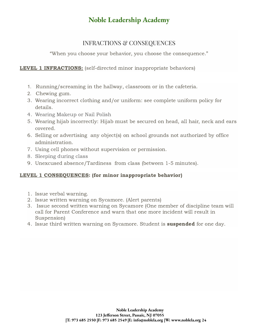### INFRACTIONS & CONSEQUENCES

"When you choose your behavior, you choose the consequence."

### LEVEL 1 INFRACTIONS: (self-directed minor inappropriate behaviors)

- 1. Running/screaming in the hallway, classroom or in the cafeteria.
- 2. Chewing gum.
- 3. Wearing incorrect clothing and/or uniform: see complete uniform policy for details.
- 4. Wearing Makeup or Nail Polish
- 5. Wearing hijab incorrectly: Hijab must be secured on head, all hair, neck and ears covered.
- 6. Selling or advertising any object(s) on school grounds not authorized by office administration.
- 7. Using cell phones without supervision or permission.
- 8. Sleeping during class
- 9. Unexcused absence/Tardiness from class (between 1-5 minutes).

### LEVEL 1 CONSEOUENCES: (for minor inappropriate behavior)

- 1. Issue verbal warning.
- 2. Issue written warning on Sycamore. (Alert parents)
- 3. Issue second written warning on Sycamore (One member of discipline team will call for Parent Conference and warn that one more incident will result in Suspension)
- 4. Issue third written warning on Sycamore. Student is **suspended** for one day.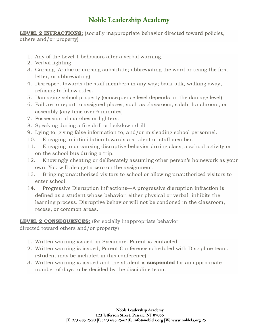**LEVEL 2 INFRACTIONS:** (socially inappropriate behavior directed toward policies, others and/or property)

- 1. Any of the Level 1 behaviors after a verbal warning.
- 2. Verbal fighting.
- 3. Cursing (Arabic or cursing substitute; abbreviating the word or using the first letter; or abbreviating)
- 4. Disrespect towards the staff members in any way; back talk, walking away, refusing to follow rules.
- 5. Damaging school property (consequence level depends on the damage level).
- 6. Failure to report to assigned places, such as classroom, salah, lunchroom, or assembly (any time over 6 minutes)
- 7. Possession of matches or lighters.
- 8. Speaking during a fire drill or lockdown drill
- 9. Lying to, giving false information to, and/or misleading school personnel.
- 10. Engaging in intimidation towards a student or staff member.
- 11. Engaging in or causing disruptive behavior during class, a school activity or on the school bus during a trip.
- 12. Knowingly cheating or deliberately assuming other person's homework as your own. You will also get a zero on the assignment.
- 13. Bringing unauthorized visitors to school or allowing unauthorized visitors to enter school.
- 14. Progressive Disruption Infractions—A progressive disruption infraction is defined as a student whose behavior, either physical or verbal, inhibits the learning process. Disruptive behavior will not be condoned in the classroom, recess, or common areas.

### **LEVEL 2 CONSEQUENCES:** (for socially inappropriate behavior

directed toward others and/or property)

- 1. Written warning issued on Sycamore. Parent is contacted
- 2. Written warning is issued, Parent Conference scheduled with Discipline team. (Student may be included in this conference)
- 3. Written warning is issued and the student is **suspended** for an appropriate number of days to be decided by the discipline team.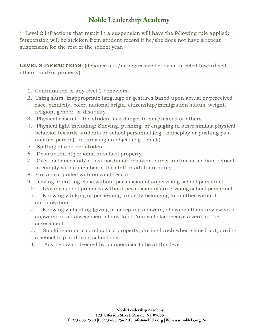\*\* Level 2 infractions that result in a suspension will have the following rule applied: Suspension will be stricken from student record if he/she does not have a repeat suspension for the rest of the school year.

**LEVEL 3 INFRACTIONS:** (defiance and/or aggressive behavior directed toward self, others, and/or property)

- 1. Continuation of any level 2 behaviors.
- 2. Using slurs, inappropriate language or gestures based upon actual or perceived race, ethnicity, color, national origin, citizenship/immigration status, weight, religion, gender, or disability.
- 3. Physical assault the student is a danger to him/herself or others.
- 4. Physical fight including: Shoving, pushing, or engaging in other similar physical behavior towards students or school personnel (e.g., horseplay or pushing past another person), or throwing an object (e.g., chalk)
- 5. Spitting at another student.
- 6. Destruction of personal or school property.
- 7. Overt defiance and/or insubordinate behavior- direct and/or immediate refusal to comply with a member of the staff or adult authority.
- 8. Fire alarm pulled with no valid reason.
- 9. Leaving or cutting class without permission of supervising school personnel.
- 10. Leaving school premises without permission of supervising school personnel.
- 11. Knowingly taking or possessing property belonging to another without authorization.
- 12. Knowingly cheating (giving or accepting answers, allowing others to view your answers) on an assessment of any kind. You will also receive a zero on the assessment.
- 13. Smoking on or around school property, during lunch when signed out, during a school trip or during school day.
- 14. Any behavior deemed by a supervisor to be at this level.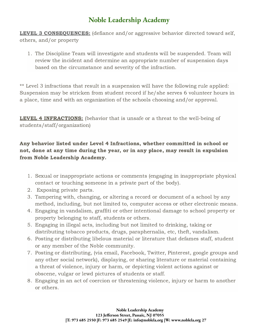**LEVEL 3 CONSEQUENCES:** (defiance and/or aggressive behavior directed toward self, others, and/or property

1. The Discipline Team will investigate and students will be suspended. Team will review the incident and determine an appropriate number of suspension days based on the circumstance and severity of the infraction.

\*\* Level 3 infractions that result in a suspension will have the following rule applied: Suspension may be stricken from student record if he/she serves 6 volunteer hours in a place, time and with an organization of the schools choosing and/or approval.

**LEVEL 4 INFRACTIONS:** (behavior that is unsafe or a threat to the well-being of students/staff/organization)

Any behavior listed under Level 4 Infractions, whether committed in school or not, done at any time during the year, or in any place, may result in expulsion from Noble Leadership Academy.

- 1. Sexual or inappropriate actions or comments (engaging in inappropriate physical contact or touching someone in a private part of the body).
- 2. Exposing private parts.
- 3. Tampering with, changing, or altering a record or document of a school by any method, including, but not limited to, computer access or other electronic means.
- 4. Engaging in vandalism, graffiti or other intentional damage to school property or property belonging to staff, students or others.
- 5. Engaging in illegal acts, including but not limited to drinking, taking or distributing tobacco products, drugs, paraphernalia, etc, theft, vandalism.
- 6. Posting or distributing libelous material or literature that defames staff, student or any member of the Noble community.
- 7. Posting or distributing, (via email, Facebook, Twitter, Pinterest, google groups and any other social network), displaying, or sharing literature or material containing a threat of violence, injury or harm, or depicting violent actions against or obscene, vulgar or lewd pictures of students or staff.
- 8. Engaging in an act of coercion or threatening violence, injury or harm to another or others.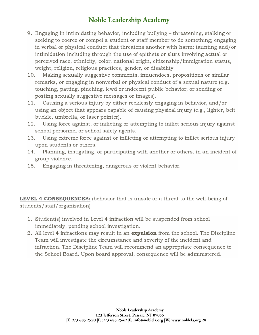- 9. Engaging in intimidating behavior, including bullying threatening, stalking or seeking to coerce or compel a student or staff member to do something; engaging in verbal or physical conduct that threatens another with harm; taunting and/or intimidation including through the use of epithets or slurs involving actual or perceived race, ethnicity, color, national origin, citizenship/immigration status, weight, religion, religious practices, gender, or disability.
- 10. Making sexually suggestive comments, innuendoes, propositions or similar remarks, or engaging in nonverbal or physical conduct of a sexual nature (e.g. touching, patting, pinching, lewd or indecent public behavior, or sending or posting sexually suggestive messages or images).
- 11. Causing a serious injury by either recklessly engaging in behavior, and/or using an object that appears capable of causing physical injury (e.g., lighter, belt buckle, umbrella, or laser pointer).
- 12. Using force against, or inflicting or attempting to inflict serious injury against school personnel or school safety agents.
- 13. Using extreme force against or inflicting or attempting to inflict serious injury upon students or others.
- 14. Planning, instigating, or participating with another or others, in an incident of group violence.
- 15. Engaging in threatening, dangerous or violent behavior.

**LEVEL 4 CONSEQUENCES:** (behavior that is unsafe or a threat to the well-being of students/staff/organization)

- 1. Student(s) involved in Level 4 infraction will be suspended from school immediately, pending school investigation.
- 2. All level 4 infractions may result in an **expulsion** from the school. The Discipline Team will investigate the circumstance and severity of the incident and infraction. The Discipline Team will recommend an appropriate consequence to the School Board. Upon board approval, consequence will be administered.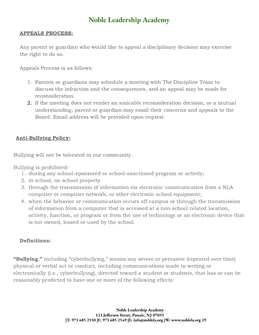#### APPEALS PROCESS:

Any parent or guardian who would like to appeal a disciplinary decision may exercise the right to do so.

Appeals Process is as follows:

- 1. Parents or guardians may schedule a meeting with The Discipline Team to discuss the infraction and the consequences, and an appeal may be made for reconsideration.
- 2. If the meeting does not render an amicable reconsideration decision, or a mutual understanding, parent or guardian may email their concerns and appeals to the Board. Email address will be provided upon request.

### Anti-Bullying Policy:

Bullying will not be tolerated in our community.

Bullying is prohibited:

- 1. during any school-sponsored or school-sanctioned program or activity;
- 2. in school, on school property
- 3. through the transmission of information via electronic communication from a NLA computer or computer network, or other electronic school equipment;
- 4. when the behavior or communication occurs off campus or through the transmission of information from a computer that is accessed at a non-school related location, activity, function, or program or from the use of technology or an electronic device that is not owned, leased or used by the school.

### Definitions:

"Bullying," including "cyberbullying," means any severe or pervasive (repeated over time) physical or verbal act or conduct, including communications made in writing or electronically (i.e., cyberbullying), directed toward a student or students, that has or can be reasonably predicted to have one or more of the following effects: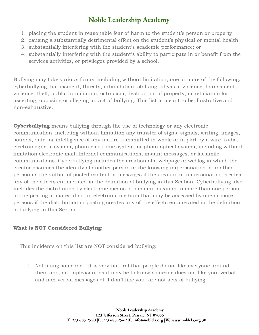- 1. placing the student in reasonable fear of harm to the student's person or property;
- 2. causing a substantially detrimental effect on the student's physical or mental health;
- 3. substantially interfering with the student's academic performance; or
- 4. substantially interfering with the student's ability to participate in or benefit from the services activities, or privileges provided by a school.

Bullying may take various forms, including without limitation, one or more of the following: cyberbullying, harassment, threats, intimidation, stalking, physical violence, harassment, violence, theft, public humiliation, ostracism, destruction of property, or retaliation for asserting, opposing or alleging an act of bullying. This list is meant to be illustrative and non-exhaustive.

**Cyberbullying** means bullying through the use of technology or any electronic communication, including without limitation any transfer of signs, signals, writing, images, sounds, data, or intelligence of any nature transmitted in whole or in part by a wire, radio, electromagnetic system, photo-electronic system, or photo-optical system, including without limitation electronic mail, Internet communications, instant messages, or facsimile communications. Cyberbullying includes the creation of a webpage or weblog in which the creator assumes the identity of another person or the knowing impersonation of another person as the author of posted content or messages if the creation or impersonation creates any of the effects enumerated in the definition of bullying in this Section. Cyberbullying also includes the distribution by electronic means of a communication to more than one person or the posting of material on an electronic medium that may be accessed by one or more persons if the distribution or posting creates any of the effects enumerated in the definition of bullying in this Section.

### What is NOT Considered Bullying:

This incidents on this list are NOT considered bullying:

1. Not liking someone – It is very natural that people do not like everyone around them and, as unpleasant as it may be to know someone does not like you, verbal and non-verbal messages of "I don't like you" are not acts of bullying.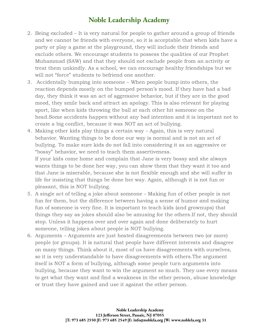- 2. Being excluded It is very natural for people to gather around a group of friends and we cannot be friends with everyone, so it is acceptable that when kids have a party or play a game at the playground, they will include their friends and exclude others. We encourage students to possess the qualities of our Prophet Muhammad (SAW) and that they should not exclude people from an activity or treat them unkindly. As a school, we can encourage healthy friendships but we will not "force" students to befriend one another.
- 3. Accidentally bumping into someone When people bump into others, the reaction depends mostly on the bumped person's mood. If they have had a bad day, they think it was an act of aggressive behavior, but if they are in the good mood, they smile back and attract an apology. This is also relevant for playing sport, like when kids throwing the ball at each other hit someone on the head.Some accidents happen without any bad intention and it is important not to create a big conflict, because it was NOT an act of bullying.
- 4. Making other kids play things a certain way Again, this is very natural behavior. Wanting things to be done our way is normal and is not an act of bullying. To make sure kids do not fall into considering it as an aggressive or "bossy" behavior, we need to teach them assertiveness.

If your kids come home and complain that Jane is very bossy and she always wants things to be done her way, you can show them that they want it too and that Jane is miserable, because she is not flexible enough and she will suffer in life for insisting that things be done her way. Again, although it is not fun or pleasant, this is NOT bullying.

- 5. A single act of telling a joke about someone Making fun of other people is not fun for them, but the difference between having a sense of humor and making fun of someone is very fine. It is important to teach kids (and grownups) that things they say as jokes should also be amusing for the others.If not, they should stop. Unless it happens over and over again and done deliberately to hurt someone, telling jokes about people is NOT bullying.
- 6. Arguments Arguments are just heated disagreements between two (or more) people (or groups). It is natural that people have different interests and disagree on many things. Think about it, most of us have disagreements with ourselves, so it is very understandable to have disagreements with others.The argument itself is NOT a form of bullying, although some people turn arguments into bullying, because they want to win the argument so much. They use every means to get what they want and find a weakness in the other person, abuse knowledge or trust they have gained and use it against the other person.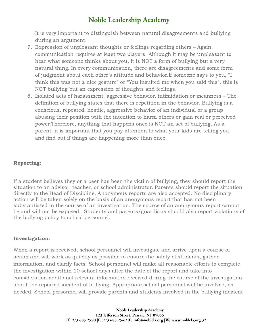It is very important to distinguish between natural disagreements and bullying during an argument.

- 7. Expression of unpleasant thoughts or feelings regarding others Again, communication requires at least two players. Although it may be unpleasant to hear what someone thinks about you, it is NOT a form of bullying but a very natural thing. In every communication, there are disagreements and some form of judgment about each other's attitude and behavior.If someone says to you, "I think this was not a nice gesture" or "You insulted me when you said this", this is NOT bullying but an expression of thoughts and feelings.
- 8. Isolated acts of harassment, aggressive behavior, intimidation or meanness The definition of bullying states that there is repetition in the behavior. Bullying is a conscious, repeated, hostile, aggressive behavior of an individual or a group abusing their position with the intention to harm others or gain real or perceived power.Therefore, anything that happens once is NOT an act of bullying. As a parent, it is important that you pay attention to what your kids are telling you and find out if things are happening more than once.

### Reporting:

If a student believes they or a peer has been the victim of bullying, they should report the situation to an advisor, teacher, or school administrator. Parents should report the situation directly to the Head of Discipline. Anonymous reports are also accepted. No disciplinary action will be taken solely on the basis of an anonymous report that has not been substantiated in the course of an investigation. The source of an anonymous report cannot be and will not be exposed. Students and parents/guardians should also report violations of the bullying policy to school personnel.

#### Investigation:

When a report is received, school personnel will investigate and arrive upon a course of action and will work as quickly as possible to ensure the safety of students, gather information, and clarify facts. School personnel will make all reasonable efforts to complete the investigation within 10 school days after the date of the report and take into consideration additional relevant information received during the course of the investigation about the reported incident of bullying. Appropriate school personnel will be involved, as needed. School personnel will provide parents and students involved in the bullying incident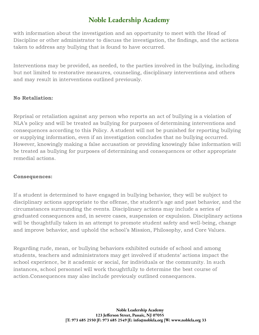with information about the investigation and an opportunity to meet with the Head of Discipline or other administrator to discuss the investigation, the findings, and the actions taken to address any bullying that is found to have occurred.

Interventions may be provided, as needed, to the parties involved in the bullying, including but not limited to restorative measures, counseling, disciplinary interventions and others and may result in interventions outlined previously.

### No Retaliation:

Reprisal or retaliation against any person who reports an act of bullying is a violation of NLA's policy and will be treated as bullying for purposes of determining interventions and consequences according to this Policy. A student will not be punished for reporting bullying or supplying information, even if an investigation concludes that no bullying occurred. However, knowingly making a false accusation or providing knowingly false information will be treated as bullying for purposes of determining and consequences or other appropriate remedial actions.

### Consequences:

If a student is determined to have engaged in bullying behavior, they will be subject to disciplinary actions appropriate to the offense, the student's age and past behavior, and the circumstances surrounding the events. Disciplinary actions may include a series of graduated consequences and, in severe cases, suspension or expulsion. Disciplinary actions will be thoughtfully taken in an attempt to promote student safety and well-being, change and improve behavior, and uphold the school's Mission, Philosophy, and Core Values.

Regarding rude, mean, or bullying behaviors exhibited outside of school and among students, teachers and administrators may get involved if students' actions impact the school experience, be it academic or social, for individuals or the community. In such instances, school personnel will work thoughtfully to determine the best course of action.Consequences may also include previously outlined consequences.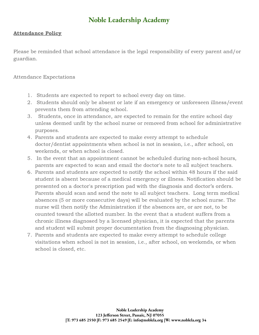### Attendance Policy

Please be reminded that school attendance is the legal responsibility of every parent and/or guardian.

Attendance Expectations

- 1. Students are expected to report to school every day on time.
- 2. Students should only be absent or late if an emergency or unforeseen illness/event prevents them from attending school.
- 3. Students, once in attendance, are expected to remain for the entire school day unless deemed unfit by the school nurse or removed from school for administrative purposes.
- 4. Parents and students are expected to make every attempt to schedule doctor/dentist appointments when school is not in session, i.e., after school, on weekends, or when school is closed.
- 5. In the event that an appointment cannot be scheduled during non-school hours, parents are expected to scan and email the doctor's note to all subject teachers.
- 6. Parents and students are expected to notify the school within 48 hours if the said student is absent because of a medical emergency or illness. Notification should be presented on a doctor's prescription pad with the diagnosis and doctor's orders. Parents should scan and send the note to all subject teachers. Long term medical absences (5 or more consecutive days) will be evaluated by the school nurse. The nurse will then notify the Administration if the absences are, or are not, to be counted toward the allotted number. In the event that a student suffers from a chronic illness diagnosed by a licensed physician, it is expected that the parents and student will submit proper documentation from the diagnosing physician.
- 7. Parents and students are expected to make every attempt to schedule college visitations when school is not in session, i.e., after school, on weekends, or when school is closed, etc.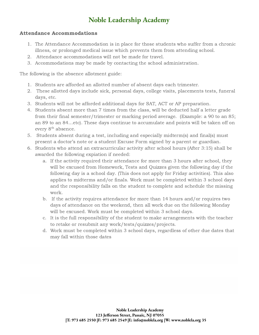#### Attendance Accommodations

- 1. The Attendance Accommodation is in place for those students who suffer from a chronic illness, or prolonged medical issue which prevents them from attending school.
- 2. Attendance accommodations will not be made for travel.
- 3. Accommodations may be made by contacting the school administration.

The following is the absence allotment guide:

- 1. Students are afforded an allotted number of absent days each trimester.
- 2. These allotted days include sick, personal days, college visits, placements tests, funeral days, etc.
- 3. Students will not be afforded additional days for SAT, ACT or AP preparation.
- 4. Students absent more than 7 times from the class, will be deducted half a letter grade from their final semester/trimester or marking period average. (Example: a 90 to an 85; an 89 to an 84…etc). These days continue to accumulate and points will be taken off on every 8<sup>th</sup> absence.
- 5. Students absent during a test, including and especially midterm(s) and final(s) must present a doctor's note or a student Excuse Form signed by a parent or guardian.
- 6. Students who attend an extracurricular activity after school hours (After 3:15) shall be awarded the following expiation if needed:
	- a. If the activity required their attendance for more than 3 hours after school, they will be excused from Homework, Tests and Quizzes given the following day if the following day is a school day. (This does not apply for Friday activities). This also applies to midterms and/or finals. Work must be completed within 3 school days and the responsibility falls on the student to complete and schedule the missing work.
	- b. If the activity requires attendance for more than 14 hours and/or requires two days of attendance on the weekend, then all work due on the following Monday will be excused. Work must be completed within 3 school days.
	- c. It is the full responsibility of the student to make arrangements with the teacher to retake or resubmit any work/tests/quizzes/projects.
	- d. Work must be completed within 3 school days, regardless of other due dates that may fall within those dates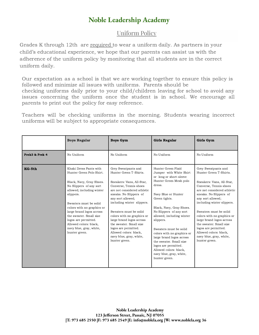### Uniform Policy

Grades K through 12th are required to wear a uniform daily. As partners in your child's educational experience, we hope that our parents can assist us with the adherence of the uniform policy by monitoring that all students are in the correct uniform daily.

Our expectation as a school is that we are working together to ensure this policy is followed and minimize all issues with uniforms. Parents should be checking uniforms daily prior to your child/children leaving for school to avoid any issues concerning the uniform once the student is in school. We encourage all parents to print out the policy for easy reference.

Teachers will be checking uniforms in the morning. Students wearing incorrect uniforms will be subject to appropriate consequences.

|                | <b>Boys Regular</b>                                                                                                                                                                                                                                                                                                                                              | <b>Boys Gym</b>                                                                                                                                                                                                                                                                                                                                                                                                               | Girls Regular                                                                                                                                                                                                                                                                                                                                                                                                                                                      | Girls Gym                                                                                                                                                                                                                                                                                                                                                                                                                     |
|----------------|------------------------------------------------------------------------------------------------------------------------------------------------------------------------------------------------------------------------------------------------------------------------------------------------------------------------------------------------------------------|-------------------------------------------------------------------------------------------------------------------------------------------------------------------------------------------------------------------------------------------------------------------------------------------------------------------------------------------------------------------------------------------------------------------------------|--------------------------------------------------------------------------------------------------------------------------------------------------------------------------------------------------------------------------------------------------------------------------------------------------------------------------------------------------------------------------------------------------------------------------------------------------------------------|-------------------------------------------------------------------------------------------------------------------------------------------------------------------------------------------------------------------------------------------------------------------------------------------------------------------------------------------------------------------------------------------------------------------------------|
| Prek3 & Prek 4 | No Uniform                                                                                                                                                                                                                                                                                                                                                       | No Uniform                                                                                                                                                                                                                                                                                                                                                                                                                    | No Uniform                                                                                                                                                                                                                                                                                                                                                                                                                                                         | No Uniform                                                                                                                                                                                                                                                                                                                                                                                                                    |
| KG-5th         | Khaki Dress Pants with<br>Hunter Green Polo Shirt.<br>Black, Navy, Gray Shoes.<br>No Slippers of any sort<br>allowed; including winter<br>slippers.<br>Sweaters must be solid<br>colors with no graphics or<br>large brand logos across<br>the sweater. Small size<br>logos are permitted.<br>Allowed colors: black,<br>navy blue, gray, white,<br>hunter green. | Grey Sweatpants and<br>Hunter Green T-Shirts.<br>Sneakers: Vans, All-Star,<br>Converse, Tennis shoes<br>are not considered athletic<br>sneaks. No Slippers of<br>any sort allowed;<br>including winter slippers.<br>Sweaters must be solid<br>colors with no graphics or<br>large brand logos across<br>the sweater. Small size<br>logos are permitted.<br>Allowed colors: black,<br>navy blue, gray, white,<br>hunter green. | Hunter Green Plaid<br>Jumper with White Shirt<br>or long or short-sleeve<br>Hunter Green Mesh polo<br>dress.<br>Navy Blue or Hunter<br>Green tights.<br>Black, Navy, Gray Shoes.<br>No Slippers of any sort<br>allowed; including winter<br>slippers.<br>Sweaters must be solid<br>colors with no graphics or<br>large brand logos across<br>the sweater. Small size<br>logos are permitted.<br>Allowed colors: black,<br>navy blue, gray, white,<br>hunter green. | Grey Sweatpants and<br>Hunter Green T-Shirts.<br>Sneakers: Vans, All-Star,<br>Converse, Tennis shoes<br>are not considered athletic<br>sneaks. No Slippers of<br>any sort allowed;<br>including winter slippers.<br>Sweaters must be solid<br>colors with no graphics or<br>large brand logos across<br>the sweater. Small size<br>logos are permitted.<br>Allowed colors: black,<br>navy blue, gray, white,<br>hunter green. |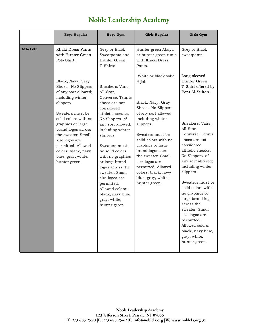|          | <b>Boys Regular</b>                                                                                                                                                                                                                                                                                                 | <b>Boys Gym</b>                                                                                                                                                                                                                                                                                                                                                                                      | <b>Girls Regular</b>                                                                                                                                                                                                                                                                                                                                 | Girls Gym                                                                                                                                                                                                                                                                                                                                                                                                                                                                     |
|----------|---------------------------------------------------------------------------------------------------------------------------------------------------------------------------------------------------------------------------------------------------------------------------------------------------------------------|------------------------------------------------------------------------------------------------------------------------------------------------------------------------------------------------------------------------------------------------------------------------------------------------------------------------------------------------------------------------------------------------------|------------------------------------------------------------------------------------------------------------------------------------------------------------------------------------------------------------------------------------------------------------------------------------------------------------------------------------------------------|-------------------------------------------------------------------------------------------------------------------------------------------------------------------------------------------------------------------------------------------------------------------------------------------------------------------------------------------------------------------------------------------------------------------------------------------------------------------------------|
| 6th-12th | Khaki Dress Pants<br>with Hunter Green<br>Polo Shirt.                                                                                                                                                                                                                                                               | Grey or Black<br>Sweatpants and<br>Hunter Green<br>T-Shirts.                                                                                                                                                                                                                                                                                                                                         | Hunter green Abaya<br>or hunter green tunic<br>with Khaki Dress<br>Pants.                                                                                                                                                                                                                                                                            | Grey or Black<br>sweatpants                                                                                                                                                                                                                                                                                                                                                                                                                                                   |
|          | Black, Navy, Gray<br>Shoes. No Slippers<br>of any sort allowed;<br>including winter<br>slippers.<br>Sweaters must be<br>solid colors with no<br>graphics or large<br>brand logos across<br>the sweater. Small<br>size logos are<br>permitted. Allowed<br>colors: black, navy<br>blue, gray, white,<br>hunter green. | Sneakers: Vans,<br>All-Star,<br>Converse, Tennis<br>shoes are not<br>considered<br>athletic sneaks.<br>No Slippers of<br>any sort allowed;<br>including winter<br>slippers.<br>Sweaters must<br>be solid colors<br>with no graphics<br>or large brand<br>logos across the<br>sweater. Small<br>size logos are<br>permitted.<br>Allowed colors:<br>black, navy blue,<br>gray, white,<br>hunter green. | White or black solid<br>Hijab<br>Black, Navy, Gray<br>Shoes. No Slippers<br>of any sort allowed;<br>including winter<br>slippers.<br>Sweaters must be<br>solid colors with no<br>graphics or large<br>brand logos across<br>the sweater. Small<br>size logos are<br>permitted. Allowed<br>colors: black, navy<br>blue, gray, white,<br>hunter green. | Long-sleeved<br>Hunter Green<br>T-Shirt offered by<br>Bent Al-Sultan.<br>Sneakers: Vans,<br>All-Star,<br>Converse, Tennis<br>shoes are not<br>considered<br>athletic sneaks.<br>No Slippers of<br>any sort allowed;<br>including winter<br>slippers.<br>Sweaters must be<br>solid colors with<br>no graphics or<br>large brand logos<br>across the<br>sweater. Small<br>size logos are<br>permitted.<br>Allowed colors:<br>black, navy blue,<br>gray, white,<br>hunter green. |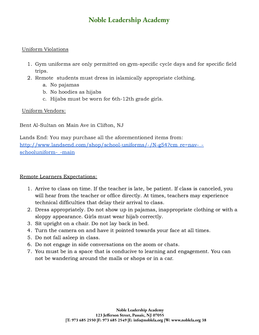### Uniform Violations

- 1. Gym uniforms are only permitted on gym-specific cycle days and for specific field trips.
- 2. Remote students must dress in islamically appropriate clothing.
	- a. No pajamas
	- b. No hoodies as hijabs
	- c. Hijabs must be worn for 6th-12th grade girls.

### Uniform Vendors:

Bent Al-Sultan on Main Ave in Clifton, NJ

Lands End: You may purchase all the aforementioned items from[:](http://www.landsend.com/shop/school-uniforms/-/N-g54?cm_re=nav-_-schooluniform-_-main) [http://www.landsend.com/shop/school-uniforms/-/N-g54?cm\\_re=nav-\\_](http://www.landsend.com/shop/school-uniforms/-/N-g54?cm_re=nav-_-schooluniform-_-main) schooluniform--main

### Remote Learners Expectations:

- 1. Arrive to class on time. If the teacher is late, be patient. If class is canceled, you will hear from the teacher or office directly. At times, teachers may experience technical difficulties that delay their arrival to class.
- 2. Dress appropriately. Do not show up in pajamas, inappropriate clothing or with a sloppy appearance. Girls must wear hijab correctly.
- 3. Sit upright on a chair. Do not lay back in bed.
- 4. Turn the camera on and have it pointed towards your face at all times.
- 5. Do not fall asleep in class.
- 6. Do not engage in side conversations on the zoom or chats.
- 7. You must be in a space that is conducive to learning and engagement. You can not be wandering around the malls or shops or in a car.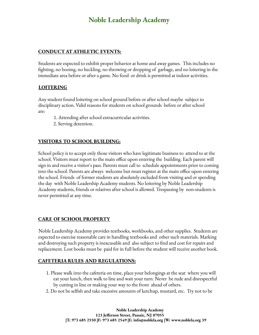#### **CONDUCT AT ATHLETIC EVENTS:**

Students are expected to exhibit proper behavior at home and away games. This includes no fighting, no booing, no heckling, no throwing or dropping of garbage, and no loitering in the immediate area before or after a game. No food or drink is permitted at indoor activities.

#### **LOITERING**

Any student found loitering on school ground before or after school maybe subject to disciplinary action. Valid reasons for students on school grounds before or after school are:

- 1. Attending after school extracurricular activities.
- 2. Serving detention.

### **VISITORS TO SCHOOL BUILDING:**

School policy is to accept only those visitors who have legitimate business to attend to at the school. Visitors must report to the main office upon entering the building. Each parent will sign in and receive a visitor's pass. Parents must call to schedule appointments prior to coming into the school. Parents are always welcome but must register at the main office upon entering the school. Friends of former students are absolutely excluded from visiting and or spending the day with Noble Leadership Academy students. No loitering by Noble Leadership Academy students, friends or relatives after school is allowed. Trespassing by non-students is never permitted at any time.

#### **CARE OF SCHOOL PROPERTY**

Noble Leadership Academy provides textbooks, workbooks, and other supplies. Students are expected to exercise reasonable care in handling textbooks and other such materials. Marking and destroying such property is inexcusable and also subject to find and cost for repairs and replacement. Lost books must be paid for in full before the student will receive another book.

#### **CAFETERIA RULES AND REGULATIONS:**

- 1. Please walk into the cafeteria on time, place your belongings at the seat where you will eat your lunch, then walk to line and wait your turn. Never be rude and disrespectful by cutting in line or making your way to the front ahead of others.
- 2. Do not be selfish and take excessive amounts of ketchup, mustard, etc. Try not to be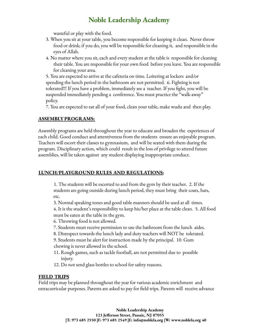wasteful or play with the food.

- 3. When you sit at your table, you become responsible for keeping it clean. Never throw food or drink; if you do, you will be responsible for cleaning it, and responsible in the eyes of Allah.
- 4. No matter where you sit, each and every student at the table is responsible for cleaning their table. You are responsible for your own food before you leave. You are responsible for cleaning your area.

5. You are expected to arrive at the cafeteria on time. Loitering at lockers and/or spending the lunch period in the bathroom are not permitted. 6. Fighting is not tolerated!!! If you have a problem, immediately see a teacher. If you fight, you will be suspended immediately pending a conference. You must practice the "walk-away" policy.

7. You are expected to eat all of your food, clean your table, make wudu and then play.

#### **ASSEMBLYPROGRAMS:**

Assembly programs are held throughout the year to educate and broaden the experiences of each child. Good conduct and attentiveness from the students ensure an enjoyable program. Teachers will escort their classes to gymnasium, and will be seated with them during the program. Disciplinary action, which could result in the loss of privilege to attend future assemblies, will be taken against any student displaying inappropriate conduct.

#### **LUNCH/PLAYGROUND RULES AND REGULATIONS:**

1. The students will be escorted to and from the gym by their teacher. 2. If the students are going outside during lunch period, they must bring their coats, hats, etc.

3. Normal speaking tones and good table manners should be used at all times. 4. It is the student's responsibility to keep his/her place at the table clean. 5. All food must be eaten at the table in the gym.

- 6. Throwing food is not allowed.
- 7. Students must receive permission to use the bathroom from the lunch aides.
- 8. Disrespect towards the lunch lady and duty teachers will NOT be tolerated.

9. Students must be alert for instruction made by the principal. 10. Gum chewing is never allowed in the school.

- 11. Rough games, such as tackle football, are not permitted due to possible injury.
- 12. Do not send glass bottles to school for safety reasons.

#### **FIELD TRIPS**

Field trips may be planned throughout the year for various academic enrichment and extracurricular purposes. Parents are asked to pay for field trips. Parents will receive advance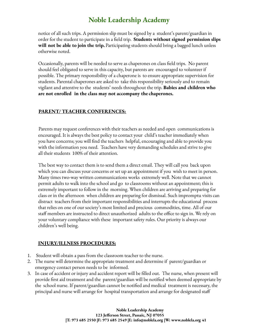notice of all such trips. A permission slip must be signed by a student's parent/guardian in order for the student to participate in a field trip. **Students without signed permission slips will not be able to join the trip.** Participating students should bring a bagged lunch unless otherwise noted.

Occasionally, parents will be needed to serve as chaperones on class field trips. No parent should feel obligated to serve in this capacity, but parents are encouraged to volunteer if possible. The primary responsibility of a chaperone is to ensure appropriate supervision for students. Parental chaperones are asked to take this responsibility seriously and to remain vigilant and attentive to the students' needs throughout the trip. **Babies and children who are not enrolled in the class may not accompany the chaperones.**

### **PARENT/ TEACHER CONFERENCES:**

Parents may request conferences with their teachers as needed and open communications is encouraged. It is always the best policy to contact your child's teacher immediately when you have concerns; you will find the teachers helpful, encouraging and able to provide you with the information you need. Teachers have very demanding schedules and strive to give all their students 100% of their attention.

The best way to contact them is to send them a direct email. They will call you back upon which you can discuss your concerns or set up an appointment if you wish to meet in person. Many times two-way written communications works extremely well. Note that we cannot permit adults to walk into the school and go to classrooms without an appointment; this is extremely important to follow in the morning. When children are arriving and preparing for class or in the afternoon when children are preparing for dismissal. Such impromptu visits can distract teachers from their important responsibilities and interrupts the educational process that relies on one of our society's most limited and precious commodities, time. All of our staff members are instructed to direct unauthorized adults to the office to sign in. We rely on your voluntary compliance with these important safety rules. Our priority is always our children's well being.

#### **INJURY/ILLNESS PROCEDURES:**

- 1. Student will obtain a pass from the classroom teacher to the nurse.
- 2. The nurse will determine the appropriate treatment and determine if parent/guardian or emergency contact person needs to be informed.
- 3. In case of accident or injury and accident report will be filled out. The nurse, when present will provide first aid treatment and the parent/guardian will be notified when deemed appropriate by the school nurse. If parent/guardian cannot be notified and medical treatment is necessary, the principal and nurse will arrange for hospital transportation and arrange for designated staff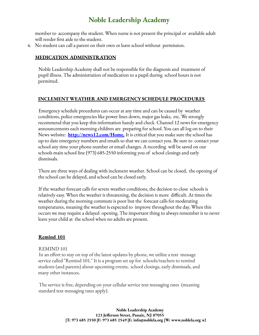member to accompany the student. When nurse is not present the principal or available adult will render first aide to the student.

4. No student can call a parent on their own or leave school without permission.

### **MEDICATION ADMINISTRATION**

Noble Leadership Academy shall not be responsible for the diagnosis and treatment of pupil illness. The administration of medication to a pupil during school hours is not permitted.

#### **INCLEMENT WEATHER AND EMERGENCYSCHEDULE PROCEDURES**

Emergency schedule procedures can occur at any time and can be caused by weather conditions, police emergencies like power lines down, major gas leaks, etc. We strongly recommend that you keep this information handy and check Channel 12 news for emergency announcements each morning children are preparing for school. You can all log on to their News website: **http://news12.com/Home.** It is critical that you make sure the school has up-to date emergency numbers and emails so that we can contact you. Be sure to contact your school any time your phone number or email changes. A recording will be saved on our schools main school line (973) 685-2550 informing you of school closings and early dismissals.

There are three ways of dealing with inclement weather. School can be closed, the opening of the school can be delayed, and school can be closed early.

If the weather forecast calls for severe weather conditions, the decision to close schools is relatively easy. When the weather is threatening, the decision is more difficult. At times the weather during the morning commute is poor but the forecast calls for moderating temperatures, meaning the weather is expected to improve throughout the day. When this occurs we may require a delayed opening. The important thing to always remember is to never leave your child at the school when no adults are present.

#### **Remind 101**

#### REMIND 101

In an effort to stay on top of the latest updates by phone, we utilize a text message service called "Remind 101." It is a program set up for schools/teachers to remind students (and parents) about upcoming events, school closings, early dismissals, and many other instances.

The service is free, depending on your cellular service text messaging rates (meaning standard text messaging rates apply).

> **Noble Leadership Academy 123 Jefferson Street, Passaic, NJ 07055 |T: 973 685 2550 |F: 973 685 2549 |E: info@noblela.org |W: www.noblela.org 42**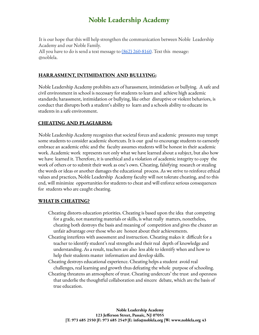It is our hope that this will help strengthen the communication between Noble Leadership Academy and our Noble Family. All you have to do is send a text message to  $(862)$  260-8160. Text this message: @noblela.

#### **HARRASMENT, INTIMIDATION AND BULLYING:**

Noble Leadership Academy prohibits acts of harassment, intimidation or bullying. A safe and civil environment in school is necessary for students to learn and achieve high academic standards; harassment, intimidation or bullying, like other disruptive or violent behaviors, is conduct that disrupts both a student's ability to learn and a schools ability to educate its students in a safe environment.

#### **CHEATING AND PLAGIARISM:**

Noble Leadership Academy recognizes that societal forces and academic pressures may tempt some students to consider academic shortcuts. It is our goal to encourage students to earnestly embrace an academic ethic and the faculty assumes students will be honest in their academic work. Academic work represents not only what we have learned about a subject, but also how we have learned it. Therefore, it is unethical and a violation of academic integrity to copy the work of others or to submit their work as one's own. Cheating, falsifying research or stealing the words or ideas or another damages the educational process. As we strive to reinforce ethical values and practices, Noble Leadership Academy faculty will not tolerate cheating, and to this end, will minimize opportunities for students to cheat and will enforce serious consequences for students who are caught cheating.

#### **WHATIS CHEATING?**

- Cheating distorts education priorities. Cheating is based upon the idea that competing for a grade, not mastering materials or skills, is what really matters, nonetheless, cheating both destroys the basis and meaning of competition and gives the cheater an unfair advantage over those who are honest about their achievements.
- Cheating interferes with assessment and instruction. Cheating makes it difficult for a teacher to identify student's real strengths and their real depth of knowledge and understanding. As a result, teachers are also less able to identify when and how to help their students master information and develop skills.
- Cheating destroys educational experience. Cheating helps a student avoid real challenges, real learning and growth thus defeating the whole purpose of schooling.
- Cheating threatens an atmosphere of trust. Cheating undercuts' the trust and openness that underlie the thoughtful collaboration and sincere debate, which are the basis of true education.